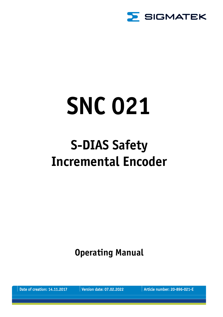

# **SNC 021**

## **S-DIAS Safety Incremental Encoder**

**Operating Manual**

Date of creation: 14.11.2017 Version date: 07.02.2022 Article number: 20-896-021-E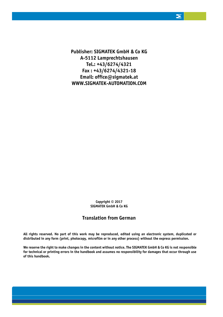**Publisher: SIGMATEK GmbH & Co KG A-5112 Lamprechtshausen Tel.: +43/6274/4321 Fax : +43/6274/4321-18 Email: office@sigmatek.at WWW.SIGMATEK-AUTOMATION.COM**

> **Copyright © 2017 SIGMATEK GmbH & Co KG**

### **Translation from German**

**All rights reserved. No part of this work may be reproduced, edited using an electronic system, duplicated or distributed in any form (print, photocopy, microfilm or in any other process) without the express permission.**

**We reserve the right to make changes in the content without notice. The SIGMATEK GmbH & Co KG is not responsible for technical or printing errors in the handbook and assumes no responsibility for damages that occur through use of this handbook.**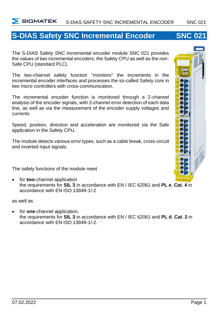### **S-DIAS Safety SNC Incremental Encoder SNC 021**

The S-DIAS Safety SNC incremental encoder module SNC 021 provides the values of two incremental encoders, the Safety CPU as well as the non-Safe CPU (standard PLC).

The two-channel safety function "monitors" the increments in the incremental encoder interfaces and processes the so-called Safety core in two micro controllers with cross-communication.

The incremental encoder function is monitored through a 2-channel analysis of the encoder signals, with 2-channel error detection of each data line, as well as via the measurement of the encoder supply voltages and currents.

Speed, position, direction and acceleration are monitored via the Safe application in the Safety CPU.

The module detects various error types, such as a cable break, cross-circuit and inverted input signals.

The safety functions of the module meet

• for **two**-channel application the requirements for **SIL 3** in accordance with EN / IEC 62061 and **PL e**, **Cat. 4** in accordance with EN ISO 13849-1/-2

as well as

• for **one**-channel application, the requirements for **SIL 3** in accordance with EN / IEC 62061 and **PL d**, **Cat. 2** in accordance with EN ISO 13849-1/-2.

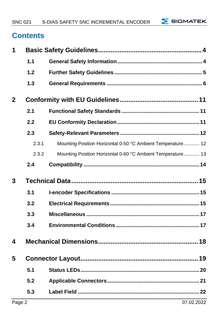$\Sigma$  SIGMATEK

### **Contents**

| 1            |       |                                                             |
|--------------|-------|-------------------------------------------------------------|
|              | 1.1   |                                                             |
|              | 1.2   |                                                             |
|              | 1.3   |                                                             |
| $\mathbf{2}$ |       |                                                             |
|              | 2.1   |                                                             |
|              | 2.2   |                                                             |
|              | 2.3   |                                                             |
|              | 2.3.1 | Mounting Position Horizontal 0-50 °C Ambient Temperature 12 |
|              | 2.3.2 | Mounting Position Horizontal 0-60 °C Ambient Temperature 13 |
|              | 2.4   |                                                             |
|              |       |                                                             |
| 3            |       |                                                             |
|              | 3.1   |                                                             |
|              | 3.2   |                                                             |
|              | 3.3   |                                                             |
|              | 3.4   |                                                             |
| 4            |       |                                                             |
| 5            |       |                                                             |
|              | 5.1   |                                                             |
|              | 5.2   |                                                             |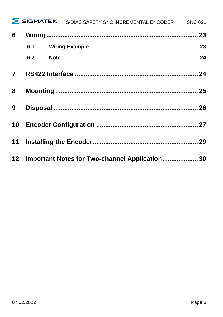|                |     | SIGMATEK S-DIAS SAFETY SNC INCREMENTAL ENCODER SNC 021 |  |
|----------------|-----|--------------------------------------------------------|--|
| 6              |     |                                                        |  |
|                | 6.1 |                                                        |  |
|                | 6.2 |                                                        |  |
| $\overline{7}$ |     |                                                        |  |
| 8              |     |                                                        |  |
| 9              |     |                                                        |  |
|                |     |                                                        |  |
|                |     |                                                        |  |
|                |     | 12 Important Notes for Two-channel Application 30      |  |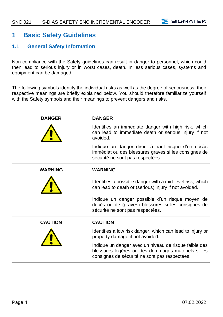$\overline{\phantom{a}}$  SIGMATEK

### <span id="page-5-0"></span>**1 Basic Safety Guidelines**

### <span id="page-5-1"></span>**1.1 General Safety Information**

Non-compliance with the Safety guidelines can result in danger to personnel, which could then lead to serious injury or in worst cases, death. In less serious cases, systems and equipment can be damaged.

The following symbols identify the individual risks as well as the degree of seriousness; their respective meanings are briefly explained below. You should therefore familiarize yourself with the Safety symbols and their meanings to prevent dangers and risks.

| <b>DANGER</b>  | <b>DANGER</b>                                                                                                                                                |
|----------------|--------------------------------------------------------------------------------------------------------------------------------------------------------------|
|                | Identifies an immediate danger with high risk, which<br>can lead to immediate death or serious injury if not<br>avoided.                                     |
|                | Indique un danger direct à haut risque d'un décès<br>immédiat ou des blessures graves si les consignes de<br>sécurité ne sont pas respectées.                |
| <b>WARNING</b> | <b>WARNING</b>                                                                                                                                               |
|                | Identifies a possible danger with a mid-level risk, which<br>can lead to death or (serious) injury if not avoided.                                           |
|                | Indique un danger possible d'un risque moyen de<br>décès ou de (graves) blessures si les consignes de<br>sécurité ne sont pas respectées.                    |
| <b>CAUTION</b> | <b>CAUTION</b>                                                                                                                                               |
|                | Identifies a low risk danger, which can lead to injury or<br>property damage if not avoided.                                                                 |
|                | Indique un danger avec un niveau de risque faible des<br>blessures légères ou des dommages matériels si les<br>consignes de sécurité ne sont pas respectées. |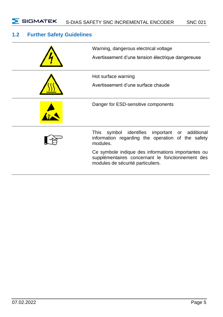### <span id="page-6-0"></span>**1.2 Further Safety Guidelines**

| Warning, dangerous electrical voltage<br>Avertissement d'une tension électrique dangereuse                                                  |
|---------------------------------------------------------------------------------------------------------------------------------------------|
| Hot surface warning<br>Avertissement d'une surface chaude                                                                                   |
| Danger for ESD-sensitive components                                                                                                         |
| symbol identifies important or<br>This<br>additional<br>information regarding the operation of the safety<br>modules.                       |
| Ce symbole indique des informations importantes ou<br>supplémentaires concernant le fonctionnement des<br>modules de sécurité particuliers. |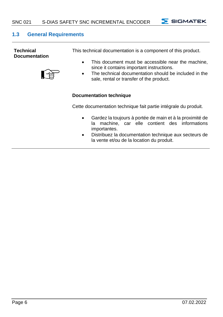$\Sigma$  SIGMATEK

### <span id="page-7-0"></span>**1.3 General Requirements**

| <b>Technical</b><br><b>Documentation</b> | This technical documentation is a component of this product.<br>This document must be accessible near the machine.<br>$\bullet$<br>since it contains important instructions.<br>The technical documentation should be included in the<br>$\bullet$<br>sale, rental or transfer of the product. |
|------------------------------------------|------------------------------------------------------------------------------------------------------------------------------------------------------------------------------------------------------------------------------------------------------------------------------------------------|
|                                          | Documentation technique                                                                                                                                                                                                                                                                        |
|                                          | Cette documentation technique fait partie intégrale du produit.                                                                                                                                                                                                                                |
|                                          | Gardez la toujours à portée de main et à la proximité de<br>$\bullet$<br>machine, car elle contient des informations<br>la<br>importantes.                                                                                                                                                     |

• Distribuez la documentation technique aux secteurs de la vente et/ou de la location du produit.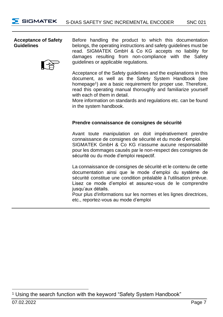### **Acceptance of Safety Guidelines**



Before handling the product to which this documentation belongs, the operating instructions and safety guidelines must be read. SIGMATEK GmbH & Co KG accepts no liability for damages resulting from non-compliance with the Safety guidelines or applicable regulations.

Acceptance of the Safety guidelines and the explanations in this document, as well as the Safety System Handbook (see homepage<sup>1</sup>) are a basic requirement for proper use. Therefore, read this operating manual thoroughly and familiarize yourself with each of them in detail.

More information on standards and regulations etc. can be found in the system handbook.

### **Prendre connaissance de consignes de sécurité**

Avant toute manipulation on doit impérativement prendre connaissance de consignes de sécurité et du mode d'emploi. SIGMATEK GmbH & Co KG n'assume aucune responsabilité pour les dommages causés par le non-respect des consignes de sécurité ou du mode d'emploi respectif.

La connaissance de consignes de sécurité et le contenu de cette documentation ainsi que le mode d'emploi du système de sécurité constitue une condition préalable à l'utilisation prévue. Lisez ce mode d'emploi et assurez-vous de le comprendre jusqu'aux détails.

Pour plus d'informations sur les normes et les lignes directrices, etc., reportez-vous au mode d'emploi

<sup>&</sup>lt;sup>1</sup> Using the search function with the keyword "Safety System Handbook"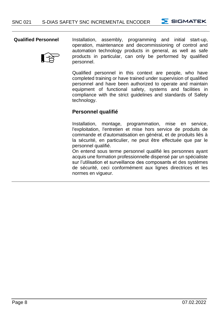$\overline{\phantom{a}}$  SIGMATEK



**Qualified Personnel** Installation, assembly, programming and initial start-up, operation, maintenance and decommissioning of control and automation technology products in general, as well as safe products in particular, can only be performed by qualified personnel.

> Qualified personnel in this context are people, who have completed training or have trained under supervision of qualified personnel and have been authorized to operate and maintain equipment of functional safety, systems and facilities in compliance with the strict guidelines and standards of Safety technology.

### **Personnel qualifié**

Installation, montage, programmation, mise en service, l'exploitation, l'entretien et mise hors service de produits de commande et d'automatisation en général, et de produits liés à la sécurité, en particulier, ne peut être effectuée que par le personnel qualifié.

On entend sous terme personnel qualifié les personnes ayant acquis une formation professionnelle dispensé par un spécialiste sur l'utilisation et surveillance des composants et des systèmes de sécurité, ceci conformément aux lignes directrices et les normes en vigueur.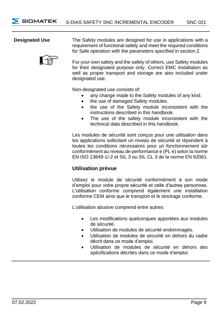**Designated Use** The Safety modules are designed for use in applications with a requirement of functional safety and meet the required conditions for Safe operation with the parameters specified in section 2.

> For your own safety and the safety of others, use Safety modules for their designated purpose only. Correct EMC installation as well as proper transport and storage are also included under designated use.

Non-designated use consists of:

- any change made to the Safety modules of any kind.
- the use of damaged Safety modules.
- the use of the Safety module inconsistent with the instructions described in this handbook.
- The use of the safety module inconsistent with the technical data described in this handbook.

Les modules de sécurité sont concus pour une utilisation dans les applications sollicitant un niveau de sécurité et répondent à toutes les conditions nécessaires pour un fonctionnement sûr conformément au niveau de performance e (PL e) selon la norme EN ISO 13849-1/-2 et SIL 3 ou SIL CL 3 de la norme EN 62061.

### **Utilisation prévue**

Utilisez le module de sécurité conformément à son mode d'emploi pour votre propre sécurité et celle d'autres personnes. L'utilisation conforme comprend également une installation conforme CEM ainsi que le transport et le stockage conforme.

L'utilisation abusive comprend entre autres:

- Les modifications quelconques apportées aux modules de sécurité.
- Utilisation de modules de sécurité endommagés.
- Utilisation de modules de sécurité en dehors du cadre décrit dans ce mode d'emploi.
- Utilisation de modules de sécurité en dehors des spécifications décrites dans ce mode d'emploi.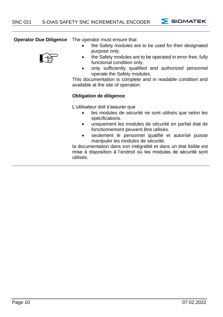SIGMATEK

**Operator Due Diligence** The operator must ensure that

- 
- purpose only. • the Safety modules are to be operated in error-free, fully functional condition only.

the Safety modules are to be used for their designated

• only sufficiently qualified and authorized personnel operate the Safety modules.

This documentation is complete and in readable condition and available at the site of operation.

### **Obligation de diligence**

L'utilisateur doit s'assurer que

- les modules de sécurité ne sont utilisés que selon les spécifications.
- uniquement les modules de sécurité en parfait état de fonctionnement peuvent être utilisés.
- seulement le personnel qualifié et autorisé puisse manipuler les modules de sécurité.

la documentation dans son intégralité et dans un état lisible est mise à disposition à l'endroit où les modules de sécurité sont utilisés.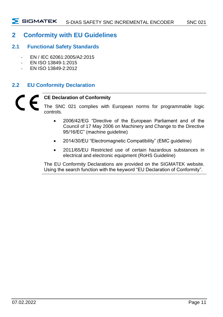### <span id="page-12-0"></span>**2 Conformity with EU Guidelines**

### <span id="page-12-1"></span>**2.1 Functional Safety Standards**

- EN / IEC 62061:2005/A2:2015
- EN ISO 13849-1:2015
- EN ISO 13849-2:2012

### <span id="page-12-2"></span>**2.2 EU Conformity Declaration**

### **CE Declaration of Conformity**

The SNC 021 complies with European norms for programmable logic controls.

- 2006/42/EG "Directive of the European Parliament and of the Council of 17 May 2006 on Machinery and Change to the Directive 95/16/EC" (machine guideline)
- 2014/30/EU "Electromagnetic Compatibility" (EMC guideline)
- 2011/65/EU Restricted use of certain hazardous substances in electrical and electronic equipment (RoHS Guideline)

The EU Conformity Declarations are provided on the SIGMATEK website. Using the search function with the keyword "EU Declaration of Conformity".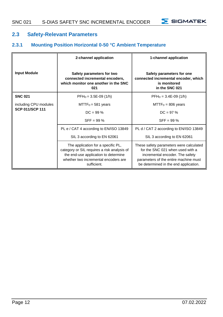$\Sigma$  SIGMATEK

### <span id="page-13-0"></span>**2.3 Safety-Relevant Parameters**

### <span id="page-13-1"></span>**2.3.1 Mounting Position Horizontal 0-50 °C Ambient Temperature**

|                       | 2-channel application                                                                                                                                                            | 1-channel application                                                                                                                                                                            |
|-----------------------|----------------------------------------------------------------------------------------------------------------------------------------------------------------------------------|--------------------------------------------------------------------------------------------------------------------------------------------------------------------------------------------------|
| <b>Input Module</b>   | Safety parameters for two<br>connected incremental encoders,<br>which monitor one another in the SNC<br>021                                                                      | Safety parameters for one<br>connected incremental encoder, which<br>is monitored<br>in the SNC 021                                                                                              |
| <b>SNC 021</b>        | $PFH_D = 3.5E-09(1/h)$                                                                                                                                                           | $PFH_D = 3.4E-09(1/h)$                                                                                                                                                                           |
| including CPU modules | $MTTFD = 581 years$                                                                                                                                                              | $MTTFD = 806 years$                                                                                                                                                                              |
| SCP 011/SCP 111       | $DC = 99 \%$                                                                                                                                                                     | $DC = 97 %$                                                                                                                                                                                      |
|                       | $SFF = 99 %$                                                                                                                                                                     | $SFF = 99 %$                                                                                                                                                                                     |
|                       | PL e / CAT 4 according to EN/ISO 13849                                                                                                                                           | PL d / CAT 2 according to EN/ISO 13849                                                                                                                                                           |
|                       | SIL 3 according to EN 62061                                                                                                                                                      | SIL 3 according to EN 62061                                                                                                                                                                      |
|                       | The application for a specific PL,<br>category or SIL requires a risk analysis of<br>the end-use application to determine<br>whether two incremental encoders are<br>sufficient. | These safety parameters were calculated<br>for the SNC 021 when used with a<br>incremental encoder. The safety<br>parameters of the entire machine must<br>be determined in the end application. |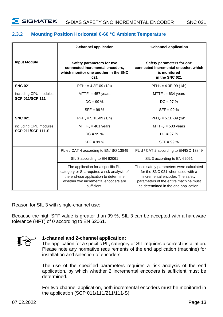### <span id="page-14-0"></span>**2.3.2 Mounting Position Horizontal 0-60 °C Ambient Temperature**

|                          | 2-channel application                                                                                                                                                            | 1-channel application                                                                                                                                                                            |  |
|--------------------------|----------------------------------------------------------------------------------------------------------------------------------------------------------------------------------|--------------------------------------------------------------------------------------------------------------------------------------------------------------------------------------------------|--|
| <b>Input Module</b>      | Safety parameters for two<br>connected incremental encoders,<br>which monitor one another in the SNC<br>021                                                                      | Safety parameters for one<br>connected incremental encoder, which<br>is monitored<br>in the SNC 021                                                                                              |  |
| <b>SNC 021</b>           | $PFH_D = 4.3E-09$ (1/h)                                                                                                                                                          | $PFH_D = 4.3E-09(1/h)$                                                                                                                                                                           |  |
| including CPU modules    | $MTTFD = 457$ years                                                                                                                                                              | $MTTF_D = 634$ years                                                                                                                                                                             |  |
| SCP 011/SCP 111          | $DC = 99 \%$                                                                                                                                                                     | $DC = 97 \%$                                                                                                                                                                                     |  |
|                          | $SFF = 99 %$                                                                                                                                                                     | $SFF = 99 %$                                                                                                                                                                                     |  |
| <b>SNC 021</b>           | $PFH_D = 5.1E-09(1/h)$                                                                                                                                                           | $PFH_D = 5.1E-09(1/h)$                                                                                                                                                                           |  |
| including CPU modules    | $MTTFD = 401$ years                                                                                                                                                              | $MTTF_D = 503$ years                                                                                                                                                                             |  |
| <b>SCP 211/SCP 111-S</b> | $DC = 99 \%$                                                                                                                                                                     | $DC = 97 \%$                                                                                                                                                                                     |  |
|                          | $SFF = 99 %$                                                                                                                                                                     | $SFF = 99 %$                                                                                                                                                                                     |  |
|                          | PL e / CAT 4 according to EN/ISO 13849                                                                                                                                           | PL d / CAT 2 according to EN/ISO 13849                                                                                                                                                           |  |
|                          | SIL 3 according to EN 62061                                                                                                                                                      | SIL 3 according to EN 62061                                                                                                                                                                      |  |
|                          | The application for a specific PL,<br>category or SIL requires a risk analysis of<br>the end-use application to determine<br>whether two incremental encoders are<br>sufficient. | These safety parameters were calculated<br>for the SNC 021 when used with a<br>incremental encoder. The safety<br>parameters of the entire machine must<br>be determined in the end application. |  |

Reason for SIL 3 with single-channel use:

Because the high SFF value is greater than 99 %, SIL 3 can be accepted with a hardware tolerance (HFT) of 0 according to EN 62061.



### **1-channel and 2-channel application:**

The application for a specific PL, category or SIL requires a correct installation. Please note any normative requirements of the end application (machine) for installation and selection of encoders.

The use of the specified parameters requires a risk analysis of the end application, by which whether 2 incremental encoders is sufficient must be determined.

For two-channel application, both incremental encoders must be monitored in the application (SCP 011/111/211/111-S).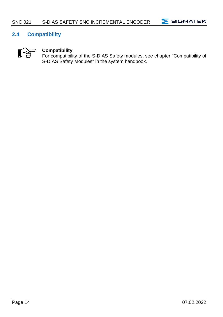

### <span id="page-15-0"></span>**2.4 Compatibility**



### **Compatibility**

For compatibility of the S-DIAS Safety modules, see chapter "Compatibility of S-DIAS Safety Modules" in the system handbook.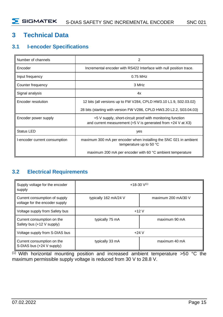### <span id="page-16-0"></span>**3 Technical Data**

### <span id="page-16-1"></span>**3.1 I-encoder Specifications**

| Number of channels            |                                                                                                                                                |
|-------------------------------|------------------------------------------------------------------------------------------------------------------------------------------------|
| Encoder                       | Incremental encoder with RS422 Interface with null position trace.                                                                             |
| Input frequency               | 0.75 MHz                                                                                                                                       |
| Counter frequency             | 3 MHz                                                                                                                                          |
| Signal analysis               | 4x                                                                                                                                             |
| Encoder resolution            | 12 bits (all versions up to FW V284, CPLD HW3.10 L1.9, S02.03.02)                                                                              |
|                               | 28 bits (starting with version FW V286, CPLD HW3.20 L2.2, S03.04.03)                                                                           |
| Encoder power supply          | +5 V supply, short-circuit proof with monitoring function<br>and current measurement $(+5 \text{ V})$ is generated from $+24 \text{ V}$ at X3) |
| <b>Status LED</b>             | yes                                                                                                                                            |
| I-encoder current consumption | maximum 300 mA per encoder when installing the SNC 021 in ambient<br>temperature up to 50 °C                                                   |
|                               | maximum 200 mA per encoder with 60 °C ambient temperature                                                                                      |

### <span id="page-16-2"></span>**3.2 Electrical Requirements**

| Supply voltage for the encoder<br>supply                        | $+18-30$ V <sup>(1)</sup>        |                     |
|-----------------------------------------------------------------|----------------------------------|---------------------|
| Current consumption of supply<br>voltage for the encoder supply | typically 162 mA/24 V            | maximum 200 mA/30 V |
| Voltage supply from Safety bus                                  | $+12V$                           |                     |
| Current consumption on the<br>Safety bus (+12 V supply)         | maximum 90 mA<br>typically 75 mA |                     |
| Voltage supply from S-DIAS bus                                  | $+24V$                           |                     |
| Current consumption on the<br>S-DIAS bus (+24 V supply)         | typically 33 mA                  | maximum 40 mA       |

<sup>(1)</sup> With horizontal mounting position and increased ambient temperature >50 °C the maximum permissible supply voltage is reduced from 30 V to 28.8 V.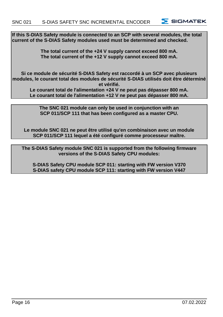**S SIGMATEK** 

**If this S-DIAS Safety module is connected to an SCP with several modules, the total current of the S-DIAS Safety modules used must be determined and checked.**

> **The total current of the +24 V supply cannot exceed 800 mA. The total current of the +12 V supply cannot exceed 800 mA.**

**Si ce module de sécurité S-DIAS Safety est raccordé à un SCP avec plusieurs modules, le courant total des modules de sécurité S-DIAS utilisés doit être déterminé et vérifié.**

**Le courant total de l'alimentation +24 V ne peut pas dépasser 800 mA. Le courant total de l'alimentation +12 V ne peut pas dépasser 800 mA.**

**The SNC 021 module can only be used in conjunction with an SCP 011/SCP 111 that has been configured as a master CPU.**

**Le module SNC 021 ne peut être utilisé qu'en combinaison avec un module SCP 011/SCP 111 lequel a été configuré comme processeur maître.**

**The S-DIAS Safety module SNC 021 is supported from the following firmware versions of the S-DIAS Safety CPU modules:**

**S-DIAS Safety CPU module SCP 011: starting with FW version V370 S-DIAS safety CPU module SCP 111: starting with FW version V447**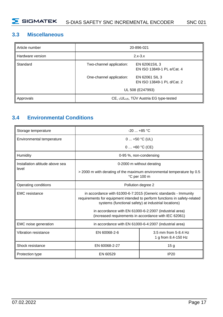### <span id="page-18-0"></span>**3.3 Miscellaneous**

| Article number   | 20-896-021                            |                                              |
|------------------|---------------------------------------|----------------------------------------------|
| Hardware version | $2.x-3.x$                             |                                              |
| Standard         | Two-channel application:              | EN 62061SIL 3<br>EN ISO 13849-1 PL e/Cat. 4  |
|                  | One-channel application:              | EN 62061 SIL 3<br>EN ISO 13849-1 PL d/Cat. 2 |
|                  | UL 508 (E247993)                      |                                              |
| Approvals        | CE, cULus, TÜV Austria EG type-tested |                                              |

### <span id="page-18-1"></span>**3.4 Environmental Conditions**

| Storage temperature                        | $-20$ $+85$ °C                                                                                                                                                                                        |                                             |  |
|--------------------------------------------|-------------------------------------------------------------------------------------------------------------------------------------------------------------------------------------------------------|---------------------------------------------|--|
| Environmental temperature                  | $0+50$ °C (UL)                                                                                                                                                                                        |                                             |  |
|                                            | $0+60$ °C (CE)                                                                                                                                                                                        |                                             |  |
| Humidity                                   | 0-95 %, non-condensing                                                                                                                                                                                |                                             |  |
| Installation altitude above sea            | 0-2000 m without derating                                                                                                                                                                             |                                             |  |
| level                                      | > 2000 m with derating of the maximum environmental temperature by 0.5<br>°C per 100 m                                                                                                                |                                             |  |
| Operating conditions<br>Pollution degree 2 |                                                                                                                                                                                                       |                                             |  |
| <b>EMC</b> resistance                      | in accordance with 61000-6-7:2015 (Generic standards - Immunity<br>requirements for equipment intended to perform functions in safety-related<br>systems (functional safety) at industrial locations) |                                             |  |
|                                            | in accordance with EN 61000-6-2:2007 (industrial area)<br>(increased requirements in accordance with IEC 62061)                                                                                       |                                             |  |
| EMC noise generation                       | in accordance with EN 61000-6-4:2007 (industrial area)                                                                                                                                                |                                             |  |
| Vibration resistance                       | EN 60068-2-6                                                                                                                                                                                          | 3.5 mm from 5-8.4 Hz<br>1 g from 8.4-150 Hz |  |
| Shock resistance                           | EN 60068-2-27                                                                                                                                                                                         | 15 <sub>q</sub>                             |  |
| Protection type                            | EN 60529                                                                                                                                                                                              | <b>IP20</b>                                 |  |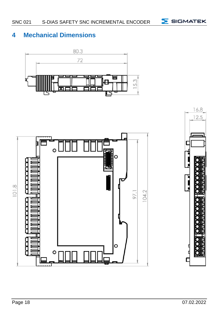### <span id="page-19-0"></span>**4 Mechanical Dimensions**







**5** SIGMATEK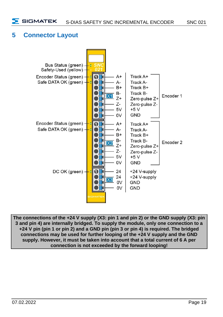### <span id="page-20-0"></span>**5 Connector Layout**



**The connections of the +24 V supply (X3: pin 1 and pin 2) or the GND supply (X3: pin 3 and pin 4) are internally bridged. To supply the module, only one connection to a +24 V pin (pin 1 or pin 2) and a GND pin (pin 3 or pin 4) is required. The bridged connections may be used for further looping of the +24 V supply and the GND supply. However, it must be taken into account that a total current of 6 A per connection is not exceeded by the forward looping!**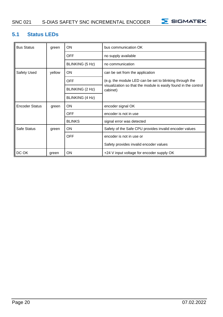### SNC 021 S-DIAS SAFETY SNC INCREMENTAL ENCODER



### <span id="page-21-0"></span>**5.1 Status LEDs**

| <b>Bus Status</b>     | green  | ON              | bus communication OK                                                        |
|-----------------------|--------|-----------------|-----------------------------------------------------------------------------|
|                       |        | <b>OFF</b>      | no supply available                                                         |
|                       |        | BLINKING (5 Hz) | no communication                                                            |
| Safety Used           | yellow | ON              | can be set from the application                                             |
|                       |        | <b>OFF</b>      | (e.g. the module LED can be set to blinking through the                     |
|                       |        | BLINKING (2 Hz) | visualization so that the module is easily found in the control<br>cabinet) |
|                       |        | BLINKING (4 Hz) |                                                                             |
| <b>Encoder Status</b> | green  | ON              | encoder signal OK                                                           |
|                       |        | <b>OFF</b>      | encoder is not in use                                                       |
|                       |        | <b>BLINKS</b>   | signal error was detected                                                   |
| Safe Status           | green  | ON              | Safety of the Safe CPU provides invalid encoder values                      |
|                       |        | <b>OFF</b>      | encoder is not in use or                                                    |
|                       |        |                 | Safety provides invalid encoder values                                      |
| DC OK                 | green  | ON              | +24 V input voltage for encoder supply OK                                   |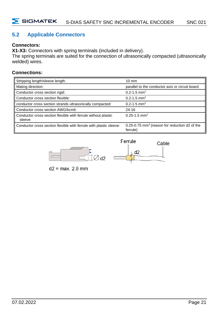### <span id="page-22-0"></span>**5.2 Applicable Connectors**

### **Connectors:**

**X1-X3:** Connectors with spring terminals (included in delivery).

The spring terminals are suited for the connection of ultrasonically compacted (ultrasonically welded) wires.

### **Connections:**

| Stripping length/sleeve length.                                          | $10 \text{ mm}$                                                       |
|--------------------------------------------------------------------------|-----------------------------------------------------------------------|
| Mating direction:                                                        | parallel to the conductor axis or circuit board                       |
| Conductor cross section rigid:                                           | 0.2-1.5 mm <sup>2</sup>                                               |
| Conductor cross section flexible:                                        | $0.2 - 1.5$ mm <sup>2</sup>                                           |
| conductor cross section strands ultrasonically compacted:                | $0.2 - 1.5$ mm <sup>2</sup>                                           |
| Conductor cross section AWG/kcmil:                                       | $24 - 16$                                                             |
| Conductor cross section flexible with ferrule without plastic<br>sleeve: | $0.25 - 1.5$ mm <sup>2</sup>                                          |
| Conductor cross section flexible with ferrule with plastic sleeve:       | 0.25-0.75 mm <sup>2</sup> (reason for reduction d2 of the<br>ferrule) |





 $d2 = max. 2.8 mm$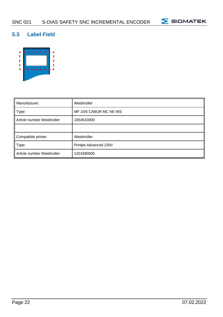

### <span id="page-23-0"></span>**5.3 Label Field**



| Manufacturer:             | Weidmüller             |
|---------------------------|------------------------|
| Type:                     | MF 10/5 CABUR MC NE WS |
| Article number Weidmüller | 1854510000             |
|                           |                        |
| Compatible printer        | Weidmüller             |
| Type:                     | Printjet Advanced 230V |
| Article number Weidmüller | 1324380000             |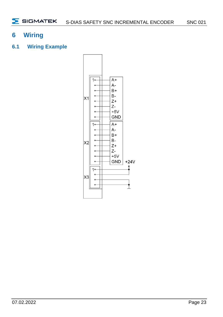### <span id="page-24-0"></span>**6 Wiring**

<span id="page-24-1"></span>**6.1 Wiring Example**

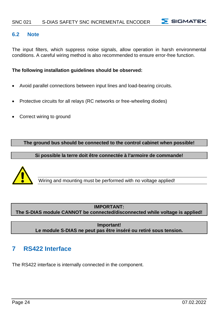### <span id="page-25-0"></span>**6.2 Note**

The input filters, which suppress noise signals, allow operation in harsh environmental conditions. A careful wiring method is also recommended to ensure error-free function.

### **The following installation guidelines should be observed:**

- Avoid parallel connections between input lines and load-bearing circuits.
- Protective circuits for all relays (RC networks or free-wheeling diodes)
- Correct wiring to ground

**The ground bus should be connected to the control cabinet when possible!**

**Si possible la terre doit être connectée à l'armoire de commande!**



Wiring and mounting must be performed with no voltage applied!

### **IMPORTANT: The S-DIAS module CANNOT be connected/disconnected while voltage is applied!**

**Important! Le module S-DIAS ne peut pas être inséré ou retiré sous tension.**

### <span id="page-25-1"></span>**7 RS422 Interface**

The RS422 interface is internally connected in the component.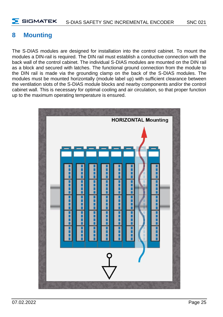### <span id="page-26-0"></span>**8 Mounting**

The S-DIAS modules are designed for installation into the control cabinet. To mount the modules a DIN-rail is required. The DIN rail must establish a conductive connection with the back wall of the control cabinet. The individual S-DIAS modules are mounted on the DIN rail as a block and secured with latches. The functional ground connection from the module to the DIN rail is made via the grounding clamp on the back of the S-DIAS modules. The modules must be mounted horizontally (module label up) with sufficient clearance between the ventilation slots of the S-DIAS module blocks and nearby components and/or the control cabinet wall. This is necessary for optimal cooling and air circulation, so that proper function up to the maximum operating temperature is ensured.

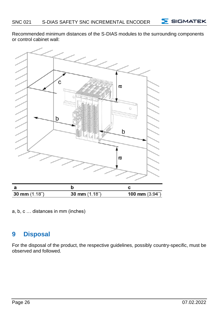$5$  SIGMATEK

Recommended minimum distances of the S-DIAS modules to the surrounding components or control cabinet wall:



a, b, c … distances in mm (inches)

### <span id="page-27-0"></span>**9 Disposal**

For the disposal of the product, the respective guidelines, possibly country-specific, must be observed and followed.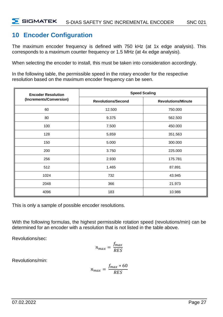### <span id="page-28-0"></span>**10 Encoder Configuration**

The maximum encoder frequency is defined with 750 kHz (at 1x edge analysis). This corresponds to a maximum counter frequency or 1.5 MHz (at 4x edge analysis).

When selecting the encoder to install, this must be taken into consideration accordingly.

In the following table, the permissible speed in the rotary encoder for the respective resolution based on the maximum encoder frequency can be seen.

| <b>Encoder Resolution</b> | <b>Speed Scaling</b>      |                           |  |
|---------------------------|---------------------------|---------------------------|--|
| (Increments/Conversion)   | <b>Revolutions/Second</b> | <b>Revolutions/Minute</b> |  |
| 60                        | 12.500                    | 750.000                   |  |
| 80                        | 9.375                     | 562.500                   |  |
| 100                       | 7.500                     | 450.000                   |  |
| 128                       | 5.859                     | 351.563                   |  |
| 150                       | 5.000                     | 300.000<br>225.000        |  |
| 200                       | 3.750                     |                           |  |
| 256                       | 2.930                     | 175.781                   |  |
| 512                       | 1.465                     | 87.891                    |  |
| 1024                      | 732                       | 43.945                    |  |
| 2048                      | 366                       | 21.973                    |  |
| 4096                      | 183                       | 10.986                    |  |

This is only a sample of possible encoder resolutions.

With the following formulas, the highest permissible rotation speed (revolutions/min) can be determined for an encoder with a resolution that is not listed in the table above.

Revolutions/sec:

$$
n_{max} = \frac{f_{max}}{RES}
$$

Revolutions/min:

$$
n_{max} = \frac{f_{max} * 60}{RES}
$$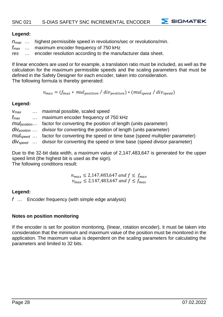### **Legend:**

| $n_{\text{max}}$ |  | highest permissible speed in revolutions/sec or revolutions/min. |
|------------------|--|------------------------------------------------------------------|
|------------------|--|------------------------------------------------------------------|

*fmax* … maximum encoder frequency of 750 kHz

*res* … encoder resolution according to the manufacturer data sheet.

If linear encoders are used or for example, a translation ratio must be included, as well as the calculation for the maximum permissible speeds and the scaling parameters that must be defined in the Safety Designer for each encoder, taken into consideration. The following formula is thereby generated:

 $v_{max} = ( f_{max} * \text{ mul}_{position} / \text{div}_{position} ) * ( \text{mul}_{speed} / \text{div}_{speed} )$ 

### **Legend:**

| $V_{max}$     | maximal possible, scaled speed                                                                 |
|---------------|------------------------------------------------------------------------------------------------|
| $f_{\rm max}$ | maximum encoder frequency of 750 kHz                                                           |
|               | <i>mul<sub>position</sub></i> factor for converting the position of length (units parameter)   |
|               | $div_{position}$ divisor for converting the position of length (units parameter)               |
|               | $mul_{\text{speed}}$ factor for converting the speed or time base (speed multiplier parameter) |
|               | $div_{speed}$ divisor for converting the speed or time base (speed divisor parameter)          |

Due to the 32-bit data width, a maximum value of 2,147,483,647 is generated for the upper speed limit (the highest bit is used as the sign).

The following conditions result:

 $n_{max} \leq 2{,}147{,}483{,}647$  and  $f \leq f_{max}$  $v_{max} \le 2{,}147{,}483{,}647$  and  $f \le f_{max}$ 

### **Legend:**

*f* … Encoder frequency (with simple edge analysis)

### **Notes on position monitoring**

If the encoder is set for position monitoring, (linear, rotation encoder), it must be taken into consideration that the minimum and maximum value of the position must be monitored in the application. The maximum value is dependent on the scaling parameters for calculating the parameters and limited to 32 bits.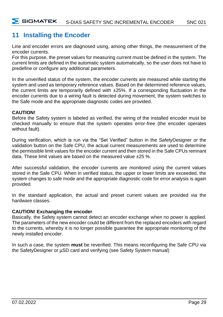### <span id="page-30-0"></span>**11 Installing the Encoder**

Line and encoder errors are diagnosed using, among other things, the measurement of the encoder currents.

For this purpose, the preset values for measuring current must be defined in the system. The current limits are defined in the automatic system automatically, so the user does not have to predefine or configure any additional parameters.

In the unverified status of the system, the encoder currents are measured while starting the system and used as temporary reference values. Based on the determined reference values, the current limits are temporarily defined with  $\pm 25\%$ . If a corresponding fluctuation in the encoder currents due to a wiring fault is detected during movement, the system switches to the Safe mode and the appropriate diagnostic codes are provided.

### **CAUTION!**

Before the Safety system is labeled as verified, the wiring of the installed encoder must be checked manually to ensure that the system operates error-free (the encoder operates without fault).

During verification, which is run via the "Set Verified" button in the SafetyDesigner or the validation button on the Safe CPU, the actual current measurements are used to determine the permissible limit values for the encoder current and then stored in the Safe CPUs remnant data. These limit values are based on the measured value ±25 %.

After successful validation, the encoder currents are monitored using the current values stored in the Safe CPU. When in verified status, the upper or lower limits are exceeded, the system changes to safe mode and the appropriate diagnostic code for error analysis is again provided.

In the standard application, the actual and preset current values are provided via the hardware classes.

### **CAUTION! Exchanging the encoder**

Basically, the Safety system cannot detect an encoder exchange when no power is applied. The parameters of the new encoder could be different from the replaced encoders with regard to the currents, whereby it is no longer possible guarantee the appropriate monitoring of the newly installed encoder.

In such a case, the system **must** be reverified. This means reconfiguring the Safe CPU via the SafetyDesigner or µSD card and verifying (see Safety System manual)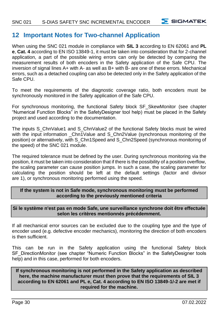### <span id="page-31-0"></span>**12 Important Notes for Two-channel Application**

When using the SNC 021 module in compliance with **SIL 3** according to EN 62061 and **PL e**, **Cat. 4** according to EN ISO 13849-1, it must be taken into consideration that for 2-channel application, a part of the possible wiring errors can only be detected by comparing the measurement results of both encoders in the Safety application of the Safe CPU. The inversion of signal lines A+ with A- as well as B+ with B- are one of these errors. Mechanical errors, such as a detached coupling can also be detected only in the Safety application of the Safe CPU.

To meet the requirements of the diagnostic coverage ratio, both encoders must be synchronously monitored in the Safety application of the Safe CPU.

For synchronous monitoring, the functional Safety block SF\_SkewMonitor (see chapter "Numerical Function Blocks" in the SafetyDesigner tool help) must be placed in the Safety project and used according to the documentation.

The inputs S\_ChnValue1 and S\_ChnValue2 of the functional Safety blocks must be wired with the input information \_Chn1Value and S\_Chn2Value (synchronous monitoring of the position) or alternatively, with S\_Chn1Speed and S\_Chn2Speed (synchronous monitoring of the speed) of the SNC 021 module.

The required tolerance must be defined by the user. During synchronous monitoring via the position, it must be taken into consideration that if there is the possibility of a position overflow, the scaling parameter can cause position jumps. In such a case, the scaling parameter for calculating the position should be left at the default settings (factor and divisor are 1), or synchronous monitoring performed using the speed.

### **If the system is not in Safe mode, synchronous monitoring must be performed according to the previously mentioned criteria**

### **Si le système n'est pas en mode Safe, une surveillance synchrone doit être effectuée selon les critères mentionnés précédemment.**

If all mechanical error sources can be excluded due to the coupling type and the type of encoder used (e.g. defective encoder mechanics), monitoring the direction of both encoders is then sufficient.

This can be run in the Safety application using the functional Safety block SF\_DirectionMonitor (see chapter "Numeric Function Blocks" in the SafetyDesigner tools help) and in this case, performed for both encoders.

### **If synchronous monitoring is not performed in the Safety application as described here, the machine manufacturer must then prove that the requirements of SIL 3 according to EN 62061 and PL e, Cat. 4 according to EN ISO 13849-1/-2 are met if required for the machine.**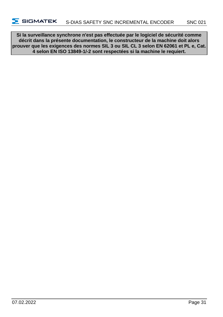**Si la surveillance synchrone n'est pas effectuée par le logiciel de sécurité comme décrit dans la présente documentation, le constructeur de la machine doit alors prouver que les exigences des normes SIL 3 ou SIL CL 3 selon EN 62061 et PL e, Cat. 4 selon EN ISO 13849-1/-2 sont respectées si la machine le requiert.**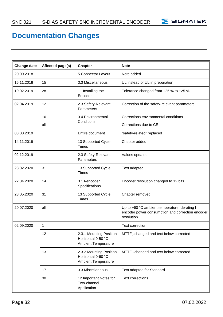

### **Documentation Changes**

| Change date | Affected page(s) | Chapter                                                                     | <b>Note</b>                                                                                                    |
|-------------|------------------|-----------------------------------------------------------------------------|----------------------------------------------------------------------------------------------------------------|
| 20.09.2018  |                  | 5 Connector Layout                                                          | Note added                                                                                                     |
| 15.11.2018  | 15               | 3.3 Miscellaneous                                                           | UL instead of UL in preparation                                                                                |
| 19.02.2019  | 28               | 11 Installing the<br>Encoder                                                | Tolerance changed from +25 % to ±25 %                                                                          |
| 02.04.2019  | 12               | 2.3 Safety-Relevant<br>Parameters                                           | Correction of the safety-relevant parameters                                                                   |
|             | 16               | 3.4 Environmental<br>Conditions                                             | Corrections environmental conditions                                                                           |
|             | all              |                                                                             | Corrections due to CE                                                                                          |
| 08.08.2019  |                  | Entire document                                                             | "safety-related" replaced                                                                                      |
| 14.11.2019  |                  | 13 Supported Cycle<br><b>Times</b>                                          | Chapter added                                                                                                  |
| 02.12.2019  |                  | 2.3 Safety-Relevant<br>Parameters                                           | Values updated                                                                                                 |
| 28.02.2020  | 31               | 13 Supported Cycle<br><b>Times</b>                                          | Text adapted                                                                                                   |
| 22.04.2020  | 14               | 3.1 I-encoder<br>Specifications                                             | Encoder resolution changed to 12 bits                                                                          |
| 28.05.2020  | 31               | 13 Supported Cycle<br>Times                                                 | Chapter removed                                                                                                |
| 20.07.2020  | all              |                                                                             | Up to +60 °C ambient temperature, derating I<br>encoder power consumption and correction encoder<br>resolution |
| 02.09.2020  | $\mathbf{1}$     |                                                                             | Text correction                                                                                                |
|             | 12               | 2.3.1 Mounting Position<br>Horizontal 0-50 °C<br><b>Ambient Temperature</b> | MTTF <sub>D</sub> changed and text below corrected                                                             |
|             | 13               | 2.3.2 Mounting Position<br>Horizontal 0-60 °C<br><b>Ambient Temperature</b> | MTTF <sub>D</sub> changed and text below corrected                                                             |
|             | 17               | 3.3 Miscellaneous                                                           | Text adapted for Standard                                                                                      |
|             | 30               | 12 Important Notes for<br>Two-channel<br>Application                        | <b>Text corrections</b>                                                                                        |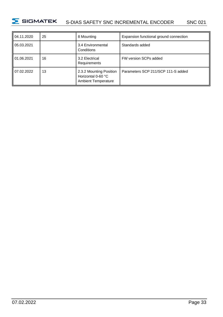

| 04.11.2020 | 25 | 8 Mounting                                                                  | Expansion functional ground connection |
|------------|----|-----------------------------------------------------------------------------|----------------------------------------|
| 05.03.2021 |    | 3.4 Environmental<br>Conditions                                             | Standards added                        |
| 01.06.2021 | 16 | 3.2 Electrical<br>Requirements                                              | FW version SCPs added                  |
| 07.02.2022 | 13 | 2.3.2 Mounting Position<br>Horizontal 0-60 °C<br><b>Ambient Temperature</b> | Parameters SCP 211/SCP 111-S added     |